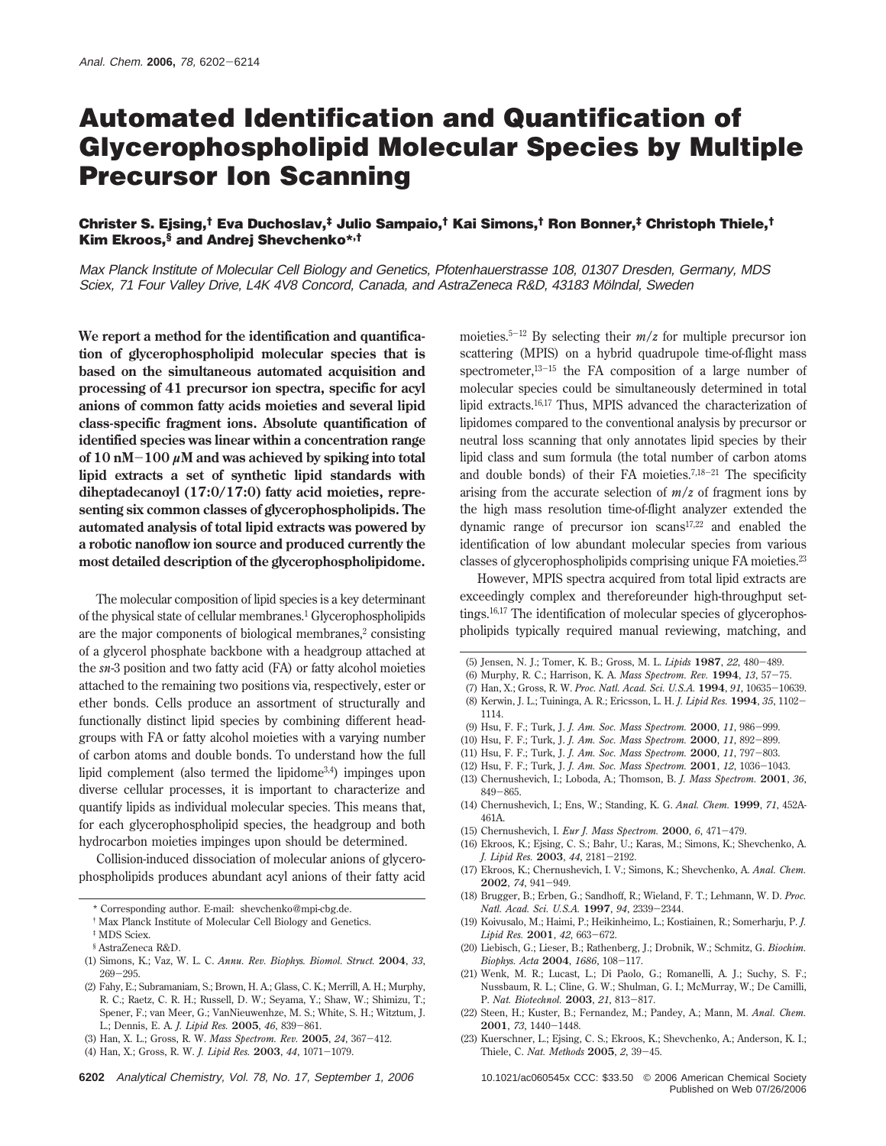# **Automated Identification and Quantification of Glycerophospholipid Molecular Species by Multiple Precursor Ion Scanning**

# **Christer S. Ejsing,† Eva Duchoslav,‡ Julio Sampaio,† Kai Simons,† Ron Bonner,‡ Christoph Thiele,† Kim Ekroos,§ and Andrej Shevchenko\*,†**

Max Planck Institute of Molecular Cell Biology and Genetics, Pfotenhauerstrasse 108, 01307 Dresden, Germany, MDS Sciex, 71 Four Valley Drive, L4K 4V8 Concord, Canada, and AstraZeneca R&D, 43183 Mölndal, Sweden

**We report a method for the identification and quantification of glycerophospholipid molecular species that is based on the simultaneous automated acquisition and processing of 41 precursor ion spectra, specific for acyl anions of common fatty acids moieties and several lipid class-specific fragment ions. Absolute quantification of identified species was linear within a concentration range of 10 nM**-**<sup>100</sup>** *<sup>µ</sup>***M and was achieved by spiking into total lipid extracts a set of synthetic lipid standards with diheptadecanoyl (17:0/17:0) fatty acid moieties, representing six common classes of glycerophospholipids. The automated analysis of total lipid extracts was powered by a robotic nanoflow ion source and produced currently the most detailed description of the glycerophospholipidome.**

The molecular composition of lipid species is a key determinant of the physical state of cellular membranes.1 Glycerophospholipids are the major components of biological membranes,<sup>2</sup> consisting of a glycerol phosphate backbone with a headgroup attached at the *sn-*3 position and two fatty acid (FA) or fatty alcohol moieties attached to the remaining two positions via, respectively, ester or ether bonds. Cells produce an assortment of structurally and functionally distinct lipid species by combining different headgroups with FA or fatty alcohol moieties with a varying number of carbon atoms and double bonds. To understand how the full lipid complement (also termed the lipidome3,4) impinges upon diverse cellular processes, it is important to characterize and quantify lipids as individual molecular species. This means that, for each glycerophospholipid species, the headgroup and both hydrocarbon moieties impinges upon should be determined.

Collision-induced dissociation of molecular anions of glycerophospholipids produces abundant acyl anions of their fatty acid moieties.<sup>5-12</sup> By selecting their  $m/z$  for multiple precursor ion scattering (MPIS) on a hybrid quadrupole time-of-flight mass spectrometer,13-<sup>15</sup> the FA composition of a large number of molecular species could be simultaneously determined in total lipid extracts.16,17 Thus, MPIS advanced the characterization of lipidomes compared to the conventional analysis by precursor or neutral loss scanning that only annotates lipid species by their lipid class and sum formula (the total number of carbon atoms and double bonds) of their FA moieties.<sup>7,18-21</sup> The specificity arising from the accurate selection of  $m/z$  of fragment ions by the high mass resolution time-of-flight analyzer extended the dynamic range of precursor ion scans17,22 and enabled the identification of low abundant molecular species from various classes of glycerophospholipids comprising unique FA moieties.23

However, MPIS spectra acquired from total lipid extracts are exceedingly complex and thereforeunder high-throughput settings.16,17 The identification of molecular species of glycerophospholipids typically required manual reviewing, matching, and

- (6) Murphy, R. C.; Harrison, K. A. *Mass Spectrom. Rev.* **<sup>1994</sup>**, *<sup>13</sup>*, 57-75.
- (7) Han, X.; Gross, R. W. *Proc. Natl. Acad. Sci. U.S.A.* **<sup>1994</sup>**, *<sup>91</sup>*, 10635-10639. (8) Kerwin, J. L.; Tuininga, A. R.; Ericsson, L. H. *J. Lipid Res.* **<sup>1994</sup>**, *<sup>35</sup>*, 1102- 1114.
- (9) Hsu, F. F.; Turk, J. *J. Am. Soc. Mass Spectrom.* **<sup>2000</sup>**, *<sup>11</sup>*, 986-999.
- (10) Hsu, F. F.; Turk, J. *J. Am. Soc. Mass Spectrom.* **<sup>2000</sup>**, *<sup>11</sup>*, 892-899.
- (11) Hsu, F. F.; Turk, J. *J. Am. Soc. Mass Spectrom.* **<sup>2000</sup>**, *<sup>11</sup>*, 797-803.
- (12) Hsu, F. F.; Turk, J. *J. Am. Soc. Mass Spectrom.* **<sup>2001</sup>**, *<sup>12</sup>*, 1036-1043.
- (13) Chernushevich, I.; Loboda, A.; Thomson, B. *J. Mass Spectrom.* **2001**, *36*, <sup>849</sup>-865.
- (14) Chernushevich, I.; Ens, W.; Standing, K. G. *Anal. Chem.* **1999**, *71*, 452A-461A.
- (15) Chernushevich, I. *Eur J. Mass Spectrom.* **<sup>2000</sup>**, *<sup>6</sup>*, 471-479.
- (16) Ekroos, K.; Ejsing, C. S.; Bahr, U.; Karas, M.; Simons, K.; Shevchenko, A.
- *J. Lipid Res.* **<sup>2003</sup>**, *<sup>44</sup>*, 2181-2192. (17) Ekroos, K.; Chernushevich, I. V.; Simons, K.; Shevchenko, A. *Anal. Chem.* **<sup>2002</sup>**, *<sup>74</sup>*, 941-949.
- (18) Brugger, B.; Erben, G.; Sandhoff, R.; Wieland, F. T.; Lehmann, W. D. *Proc. Natl. Acad. Sci. U.S.A.* **<sup>1997</sup>**, *<sup>94</sup>*, 2339-2344.
- (19) Koivusalo, M.; Haimi, P.; Heikinheimo, L.; Kostiainen, R.; Somerharju, P. *J. Lipid Res.* **<sup>2001</sup>**, *<sup>42</sup>*, 663-672.
- (20) Liebisch, G.; Lieser, B.; Rathenberg, J.; Drobnik, W.; Schmitz, G. *Biochim. Biophys. Acta* **<sup>2004</sup>**, *<sup>1686</sup>*, 108-117.
- (21) Wenk, M. R.; Lucast, L.; Di Paolo, G.; Romanelli, A. J.; Suchy, S. F.; Nussbaum, R. L.; Cline, G. W.; Shulman, G. I.; McMurray, W.; De Camilli, P. *Nat. Biotechnol.* **<sup>2003</sup>**, *<sup>21</sup>*, 813-817.
- (22) Steen, H.; Kuster, B.; Fernandez, M.; Pandey, A.; Mann, M. *Anal. Chem.* **<sup>2001</sup>**, *<sup>73</sup>*, 1440-1448.
- (23) Kuerschner, L.; Ejsing, C. S.; Ekroos, K.; Shevchenko, A.; Anderson, K. I.; Thiele, C. *Nat. Methods* **<sup>2005</sup>**, *<sup>2</sup>*, 39-45.

Published on Web 07/26/2006

<sup>\*</sup> Corresponding author. E-mail: shevchenko@mpi-cbg.de.

<sup>†</sup> Max Planck Institute of Molecular Cell Biology and Genetics.

<sup>‡</sup> MDS Sciex.

<sup>§</sup> AstraZeneca R&D.

<sup>(1)</sup> Simons, K.; Vaz, W. L. C. *Annu. Rev. Biophys. Biomol. Struct.* **2004**, *33*, <sup>269</sup>-295.

<sup>(2)</sup> Fahy, E.; Subramaniam, S.; Brown, H. A.; Glass, C. K.; Merrill, A. H.; Murphy, R. C.; Raetz, C. R. H.; Russell, D. W.; Seyama, Y.; Shaw, W.; Shimizu, T.; Spener, F.; van Meer, G.; VanNieuwenhze, M. S.; White, S. H.; Witztum, J. L.; Dennis, E. A. *J. Lipid Res.* **<sup>2005</sup>**, *<sup>46</sup>*, 839-861.

<sup>(3)</sup> Han, X. L.; Gross, R. W. *Mass Spectrom. Rev.* **<sup>2005</sup>**, *<sup>24</sup>*, 367-412.

<sup>(4)</sup> Han, X.; Gross, R. W. *J. Lipid Res.* **<sup>2003</sup>**, *<sup>44</sup>*, 1071-1079.

<sup>6202</sup> Analytical Chemistry, Vol. 78, No. 17, September 1, 2006 10.1021/ac060545x CCC: \$33.50 © 2006 American Chemical Society

<sup>(5)</sup> Jensen, N. J.; Tomer, K. B.; Gross, M. L. *Lipids* **<sup>1987</sup>**, *<sup>22</sup>*, 480-489.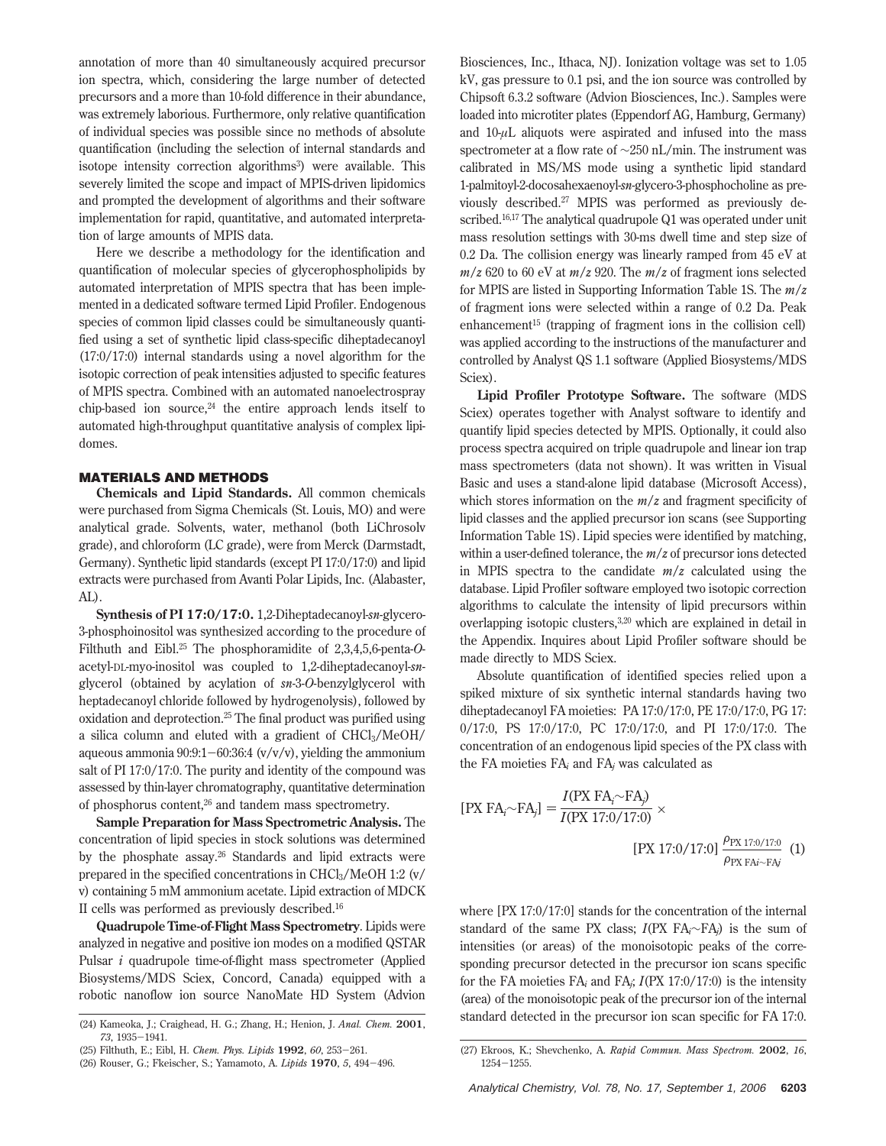annotation of more than 40 simultaneously acquired precursor ion spectra, which, considering the large number of detected precursors and a more than 10-fold difference in their abundance, was extremely laborious. Furthermore, only relative quantification of individual species was possible since no methods of absolute quantification (including the selection of internal standards and isotope intensity correction algorithms<sup>3</sup>) were available. This severely limited the scope and impact of MPIS-driven lipidomics and prompted the development of algorithms and their software implementation for rapid, quantitative, and automated interpretation of large amounts of MPIS data.

Here we describe a methodology for the identification and quantification of molecular species of glycerophospholipids by automated interpretation of MPIS spectra that has been implemented in a dedicated software termed Lipid Profiler. Endogenous species of common lipid classes could be simultaneously quantified using a set of synthetic lipid class-specific diheptadecanoyl (17:0/17:0) internal standards using a novel algorithm for the isotopic correction of peak intensities adjusted to specific features of MPIS spectra. Combined with an automated nanoelectrospray chip-based ion source.<sup>24</sup> the entire approach lends itself to automated high-throughput quantitative analysis of complex lipidomes.

# **MATERIALS AND METHODS**

**Chemicals and Lipid Standards.** All common chemicals were purchased from Sigma Chemicals (St. Louis, MO) and were analytical grade. Solvents, water, methanol (both LiChrosolv grade), and chloroform (LC grade), were from Merck (Darmstadt, Germany). Synthetic lipid standards (except PI 17:0/17:0) and lipid extracts were purchased from Avanti Polar Lipids, Inc. (Alabaster, AL)

**Synthesis of PI 17:0/17:0.** 1,2-Diheptadecanoyl-*sn*-glycero-3-phosphoinositol was synthesized according to the procedure of Filthuth and Eibl.25 The phosphoramidite of 2,3,4,5,6-penta-*O*acetyl-DL-myo-inositol was coupled to 1,2-diheptadecanoyl-*sn*glycerol (obtained by acylation of *sn*-3-*O*-benzylglycerol with heptadecanoyl chloride followed by hydrogenolysis), followed by oxidation and deprotection.25 The final product was purified using a silica column and eluted with a gradient of CHCl3/MeOH/ aqueous ammonia 90:9:1-60:36:4  $(v/v/v)$ , yielding the ammonium salt of PI 17:0/17:0. The purity and identity of the compound was assessed by thin-layer chromatography, quantitative determination of phosphorus content,<sup>26</sup> and tandem mass spectrometry.

**Sample Preparation for Mass Spectrometric Analysis.** The concentration of lipid species in stock solutions was determined by the phosphate assay.<sup>26</sup> Standards and lipid extracts were prepared in the specified concentrations in  $CHCl<sub>3</sub>/MeOH$  1:2 (v/ v) containing 5 mM ammonium acetate. Lipid extraction of MDCK II cells was performed as previously described.16

**Quadrupole Time-of-Flight Mass Spectrometry**. Lipids were analyzed in negative and positive ion modes on a modified QSTAR Pulsar *i* quadrupole time-of-flight mass spectrometer (Applied Biosystems/MDS Sciex, Concord, Canada) equipped with a robotic nanoflow ion source NanoMate HD System (Advion

Biosciences, Inc., Ithaca, NJ). Ionization voltage was set to 1.05 kV, gas pressure to 0.1 psi, and the ion source was controlled by Chipsoft 6.3.2 software (Advion Biosciences, Inc.). Samples were loaded into microtiter plates (Eppendorf AG, Hamburg, Germany) and  $10-\mu$ L aliquots were aspirated and infused into the mass spectrometer at a flow rate of ∼250 nL/min. The instrument was calibrated in MS/MS mode using a synthetic lipid standard 1-palmitoyl-2-docosahexaenoyl-*sn*-glycero-3-phosphocholine as previously described.27 MPIS was performed as previously described.16,17 The analytical quadrupole Q1 was operated under unit mass resolution settings with 30-ms dwell time and step size of 0.2 Da. The collision energy was linearly ramped from 45 eV at  $m/z$  620 to 60 eV at  $m/z$  920. The  $m/z$  of fragment ions selected for MPIS are listed in Supporting Information Table 1S. The *m*/*z* of fragment ions were selected within a range of 0.2 Da. Peak enhancement<sup>15</sup> (trapping of fragment ions in the collision cell) was applied according to the instructions of the manufacturer and controlled by Analyst QS 1.1 software (Applied Biosystems/MDS Sciex).

**Lipid Profiler Prototype Software.** The software (MDS Sciex) operates together with Analyst software to identify and quantify lipid species detected by MPIS. Optionally, it could also process spectra acquired on triple quadrupole and linear ion trap mass spectrometers (data not shown). It was written in Visual Basic and uses a stand-alone lipid database (Microsoft Access), which stores information on the  $m/z$  and fragment specificity of lipid classes and the applied precursor ion scans (see Supporting Information Table 1S). Lipid species were identified by matching, within a user-defined tolerance, the *m*/*z* of precursor ions detected in MPIS spectra to the candidate *m*/*z* calculated using the database. Lipid Profiler software employed two isotopic correction algorithms to calculate the intensity of lipid precursors within overlapping isotopic clusters,3,20 which are explained in detail in the Appendix. Inquires about Lipid Profiler software should be made directly to MDS Sciex.

Absolute quantification of identified species relied upon a spiked mixture of six synthetic internal standards having two diheptadecanoyl FA moieties: PA 17:0/17:0, PE 17:0/17:0, PG 17: 0/17:0, PS 17:0/17:0, PC 17:0/17:0, and PI 17:0/17:0. The concentration of an endogenous lipid species of the PX class with the FA moieties FA*<sup>i</sup>* and FA*<sup>j</sup>* was calculated as

$$
[PX FAi \sim FAj] = \frac{I(PX FAi \sim FAj)}{I(PX 17:0/17:0)} \times
$$
  
\n
$$
[PX 17:0/17:0] \frac{\rho_{PX 17:0/17:0}}{\rho_{PX FAi \sim FAj}}
$$
 (1)

where [PX 17:0/17:0] stands for the concentration of the internal standard of the same PX class; *I*(PX FA*i*∼FA*j*) is the sum of intensities (or areas) of the monoisotopic peaks of the corresponding precursor detected in the precursor ion scans specific for the FA moieties FA*<sup>i</sup>* and FA*j*; *I*(PX 17:0/17:0) is the intensity (area) of the monoisotopic peak of the precursor ion of the internal standard detected in the precursor ion scan specific for FA 17:0. (24) Kameoka, J.; Craighead, H. G.; Zhang, H.; Henion, J. *Anal. Chem.* **<sup>2001</sup>**,

*<sup>73</sup>*, 1935-1941.

<sup>(25)</sup> Filthuth, E.; Eibl, H. *Chem. Phys. Lipids* **<sup>1992</sup>**, *<sup>60</sup>*, 253-261.

<sup>(26)</sup> Rouser, G.; Fkeischer, S.; Yamamoto, A. *Lipids* **<sup>1970</sup>**, *<sup>5</sup>*, 494-496.

<sup>(27)</sup> Ekroos, K.; Shevchenko, A. *Rapid Commun. Mass Spectrom.* **2002**, *16*, <sup>1254</sup>-1255.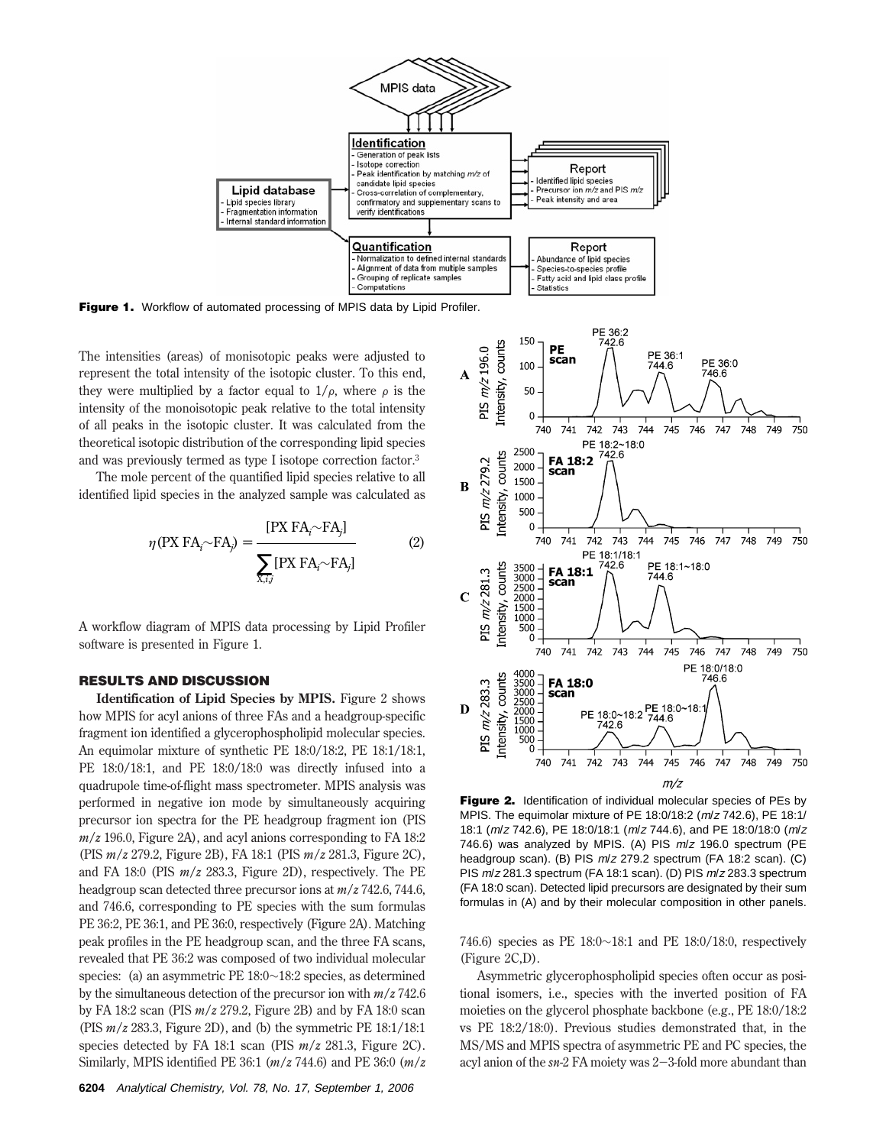

**Figure 1.** Workflow of automated processing of MPIS data by Lipid Profiler.

The intensities (areas) of monisotopic peaks were adjusted to represent the total intensity of the isotopic cluster. To this end, they were multiplied by a factor equal to  $1/\rho$ , where  $\rho$  is the intensity of the monoisotopic peak relative to the total intensity of all peaks in the isotopic cluster. It was calculated from the theoretical isotopic distribution of the corresponding lipid species and was previously termed as type I isotope correction factor.3

The mole percent of the quantified lipid species relative to all identified lipid species in the analyzed sample was calculated as

$$
\eta \text{ (PX FA}_{i} \sim \text{FA}_{j}) = \frac{\text{[PX FA}_{i} \sim \text{FA}_{j}]}{\sum_{\overline{\mathbf{x}}_{i} \in \mathcal{N}} \text{[PX FA}_{i} \sim \text{FA}_{j}]}
$$
(2)

A workflow diagram of MPIS data processing by Lipid Profiler software is presented in Figure 1.

### **RESULTS AND DISCUSSION**

**Identification of Lipid Species by MPIS.** Figure 2 shows how MPIS for acyl anions of three FAs and a headgroup-specific fragment ion identified a glycerophospholipid molecular species. An equimolar mixture of synthetic PE 18:0/18:2, PE 18:1/18:1, PE 18:0/18:1, and PE 18:0/18:0 was directly infused into a quadrupole time-of-flight mass spectrometer. MPIS analysis was performed in negative ion mode by simultaneously acquiring precursor ion spectra for the PE headgroup fragment ion (PIS  $m/z$  196.0, Figure 2A), and acyl anions corresponding to FA 18:2 (PIS *m*/*z* 279.2, Figure 2B), FA 18:1 (PIS *m*/*z* 281.3, Figure 2C), and FA 18:0 (PIS *m*/*z* 283.3, Figure 2D), respectively. The PE headgroup scan detected three precursor ions at *m*/*z* 742.6, 744.6, and 746.6, corresponding to PE species with the sum formulas PE 36:2, PE 36:1, and PE 36:0, respectively (Figure 2A). Matching peak profiles in the PE headgroup scan, and the three FA scans, revealed that PE 36:2 was composed of two individual molecular species: (a) an asymmetric PE 18:0∼18:2 species, as determined by the simultaneous detection of the precursor ion with *m*/*z* 742.6 by FA 18:2 scan (PIS *m*/*z* 279.2, Figure 2B) and by FA 18:0 scan (PIS *m*/*z* 283.3, Figure 2D), and (b) the symmetric PE 18:1/18:1 species detected by FA 18:1 scan (PIS *m*/*z* 281.3, Figure 2C). Similarly, MPIS identified PE 36:1 (*m*/*z* 744.6) and PE 36:0 (*m*/*z*



**Figure 2.** Identification of individual molecular species of PEs by MPIS. The equimolar mixture of PE 18:0/18:2 (m/<sup>z</sup> 742.6), PE 18:1/ 18:1 (m/<sup>z</sup> 742.6), PE 18:0/18:1 (m/<sup>z</sup> 744.6), and PE 18:0/18:0 (m/<sup>z</sup> 746.6) was analyzed by MPIS. (A) PIS <sup>m</sup>/<sup>z</sup> 196.0 spectrum (PE headgroup scan). (B) PIS m/z 279.2 spectrum (FA 18:2 scan). (C) PIS  $m/z$  281.3 spectrum (FA 18:1 scan). (D) PIS  $m/z$  283.3 spectrum (FA 18:0 scan). Detected lipid precursors are designated by their sum formulas in (A) and by their molecular composition in other panels.

746.6) species as PE 18:0∼18:1 and PE 18:0/18:0, respectively (Figure 2C,D).

Asymmetric glycerophospholipid species often occur as positional isomers, i.e., species with the inverted position of FA moieties on the glycerol phosphate backbone (e.g., PE 18:0/18:2 vs PE 18:2/18:0). Previous studies demonstrated that, in the MS/MS and MPIS spectra of asymmetric PE and PC species, the acyl anion of the *sn-*2 FA moiety was 2-3-fold more abundant than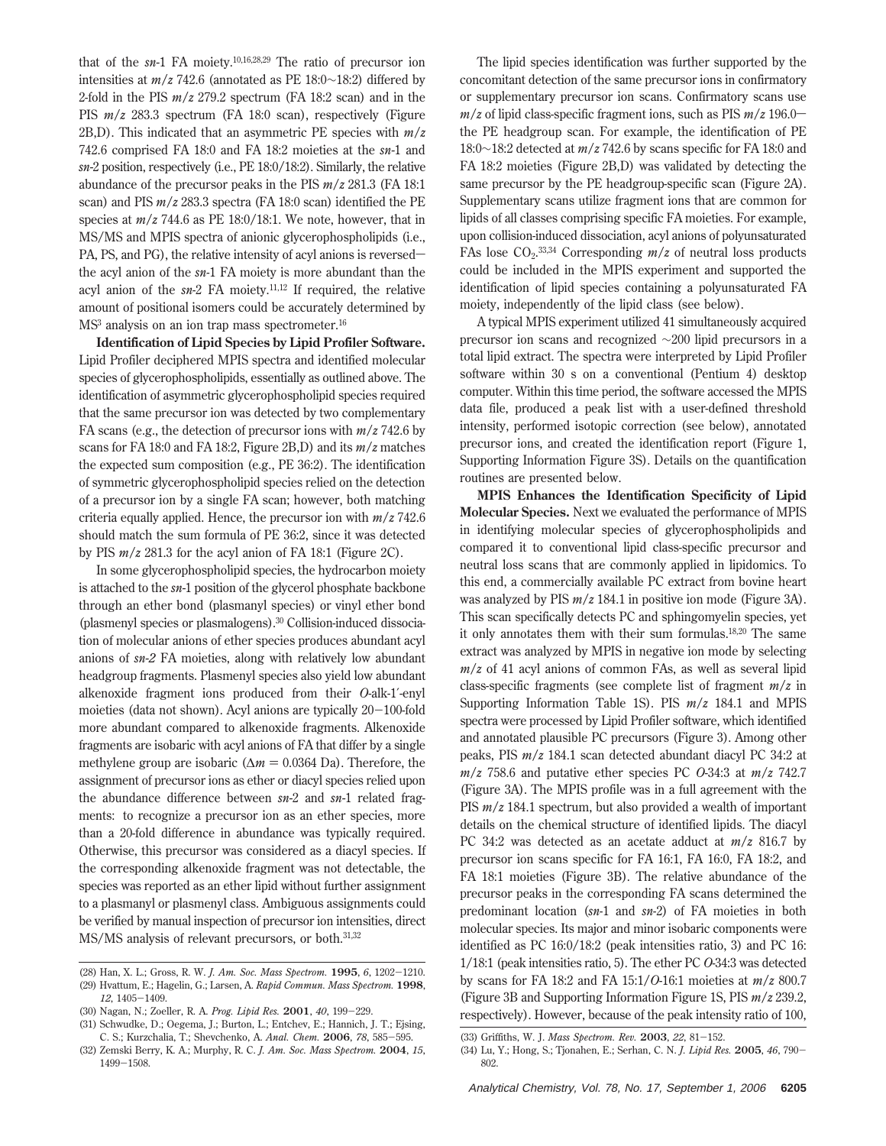that of the *sn-*1 FA moiety.10,16,28,29 The ratio of precursor ion intensities at *m*/*z* 742.6 (annotated as PE 18:0∼18:2) differed by 2-fold in the PIS *m*/*z* 279.2 spectrum (FA 18:2 scan) and in the PIS *m*/*z* 283.3 spectrum (FA 18:0 scan), respectively (Figure 2B,D). This indicated that an asymmetric PE species with *m*/*z* 742.6 comprised FA 18:0 and FA 18:2 moieties at the *sn-*1 and *sn-*2 position, respectively (i.e., PE 18:0/18:2). Similarly, the relative abundance of the precursor peaks in the PIS *m*/*z* 281.3 (FA 18:1 scan) and PIS *m*/*z* 283.3 spectra (FA 18:0 scan) identified the PE species at *m*/*z* 744.6 as PE 18:0/18:1. We note, however, that in MS/MS and MPIS spectra of anionic glycerophospholipids (i.e., PA, PS, and PG), the relative intensity of acyl anions is reversedthe acyl anion of the *sn*-1 FA moiety is more abundant than the acyl anion of the *sn*-2 FA moiety.11,12 If required, the relative amount of positional isomers could be accurately determined by MS<sup>3</sup> analysis on an ion trap mass spectrometer.<sup>16</sup>

**Identification of Lipid Species by Lipid Profiler Software.** Lipid Profiler deciphered MPIS spectra and identified molecular species of glycerophospholipids, essentially as outlined above. The identification of asymmetric glycerophospholipid species required that the same precursor ion was detected by two complementary FA scans (e.g., the detection of precursor ions with *m*/*z* 742.6 by scans for FA 18:0 and FA 18:2, Figure 2B,D) and its *m*/*z* matches the expected sum composition (e.g., PE 36:2). The identification of symmetric glycerophospholipid species relied on the detection of a precursor ion by a single FA scan; however, both matching criteria equally applied. Hence, the precursor ion with *m*/*z* 742.6 should match the sum formula of PE 36:2, since it was detected by PIS *m*/*z* 281.3 for the acyl anion of FA 18:1 (Figure 2C).

In some glycerophospholipid species, the hydrocarbon moiety is attached to the *sn-*1 position of the glycerol phosphate backbone through an ether bond (plasmanyl species) or vinyl ether bond (plasmenyl species or plasmalogens).30 Collision-induced dissociation of molecular anions of ether species produces abundant acyl anions of *sn-2* FA moieties, along with relatively low abundant headgroup fragments. Plasmenyl species also yield low abundant alkenoxide fragment ions produced from their *O*-alk-1′-enyl moieties (data not shown). Acyl anions are typically 20-100-fold more abundant compared to alkenoxide fragments. Alkenoxide fragments are isobaric with acyl anions of FA that differ by a single methylene group are isobaric ( $\Delta m = 0.0364$  Da). Therefore, the assignment of precursor ions as ether or diacyl species relied upon the abundance difference between *sn-*2 and *sn-*1 related fragments: to recognize a precursor ion as an ether species, more than a 20-fold difference in abundance was typically required. Otherwise, this precursor was considered as a diacyl species. If the corresponding alkenoxide fragment was not detectable, the species was reported as an ether lipid without further assignment to a plasmanyl or plasmenyl class. Ambiguous assignments could be verified by manual inspection of precursor ion intensities, direct MS/MS analysis of relevant precursors, or both.31,32

(28) Han, X. L.; Gross, R. W. *J. Am. Soc. Mass Spectrom.* **<sup>1995</sup>**, *<sup>6</sup>*, 1202-1210. (29) Hvattum, E.; Hagelin, G.; Larsen, A. *Rapid Commun. Mass Spectrom.* **1998**, *<sup>12</sup>*, 1405-1409.

(30) Nagan, N.; Zoeller, R. A. *Prog. Lipid Res.* **<sup>2001</sup>**, *<sup>40</sup>*, 199-229.

(31) Schwudke, D.; Oegema, J.; Burton, L.; Entchev, E.; Hannich, J. T.; Ejsing, C. S.; Kurzchalia, T.; Shevchenko, A. *Anal. Chem.* **<sup>2006</sup>**, *<sup>78</sup>*, 585-595.

(32) Zemski Berry, K. A.; Murphy, R. C. *J. Am. Soc. Mass Spectrom.* **2004**, *15*, <sup>1499</sup>-1508.

The lipid species identification was further supported by the concomitant detection of the same precursor ions in confirmatory or supplementary precursor ion scans. Confirmatory scans use  $m/z$  of lipid class-specific fragment ions, such as PIS  $m/z$  196.0 the PE headgroup scan. For example, the identification of PE 18:0∼18:2 detected at *m*/*z* 742.6 by scans specific for FA 18:0 and FA 18:2 moieties (Figure 2B,D) was validated by detecting the same precursor by the PE headgroup-specific scan (Figure 2A). Supplementary scans utilize fragment ions that are common for lipids of all classes comprising specific FA moieties. For example, upon collision-induced dissociation, acyl anions of polyunsaturated FAs lose CO<sub>2</sub>.<sup>33,34</sup> Corresponding *m/z* of neutral loss products could be included in the MPIS experiment and supported the identification of lipid species containing a polyunsaturated FA moiety, independently of the lipid class (see below).

A typical MPIS experiment utilized 41 simultaneously acquired precursor ion scans and recognized ∼200 lipid precursors in a total lipid extract. The spectra were interpreted by Lipid Profiler software within 30 s on a conventional (Pentium 4) desktop computer. Within this time period, the software accessed the MPIS data file, produced a peak list with a user-defined threshold intensity, performed isotopic correction (see below), annotated precursor ions, and created the identification report (Figure 1, Supporting Information Figure 3S). Details on the quantification routines are presented below.

**MPIS Enhances the Identification Specificity of Lipid Molecular Species.** Next we evaluated the performance of MPIS in identifying molecular species of glycerophospholipids and compared it to conventional lipid class-specific precursor and neutral loss scans that are commonly applied in lipidomics. To this end, a commercially available PC extract from bovine heart was analyzed by PIS *m*/*z* 184.1 in positive ion mode (Figure 3A). This scan specifically detects PC and sphingomyelin species, yet it only annotates them with their sum formulas.18,20 The same extract was analyzed by MPIS in negative ion mode by selecting  $m/z$  of 41 acyl anions of common FAs, as well as several lipid class-specific fragments (see complete list of fragment *m*/*z* in Supporting Information Table 1S). PIS *m*/*z* 184.1 and MPIS spectra were processed by Lipid Profiler software, which identified and annotated plausible PC precursors (Figure 3). Among other peaks, PIS *m*/*z* 184.1 scan detected abundant diacyl PC 34:2 at *m*/*z* 758.6 and putative ether species PC *O*-34:3 at *m*/*z* 742.7 (Figure 3A). The MPIS profile was in a full agreement with the PIS *m*/*z* 184.1 spectrum, but also provided a wealth of important details on the chemical structure of identified lipids. The diacyl PC 34:2 was detected as an acetate adduct at *m*/*z* 816.7 by precursor ion scans specific for FA 16:1, FA 16:0, FA 18:2, and FA 18:1 moieties (Figure 3B). The relative abundance of the precursor peaks in the corresponding FA scans determined the predominant location (*sn*-1 and *sn*-2) of FA moieties in both molecular species. Its major and minor isobaric components were identified as PC 16:0/18:2 (peak intensities ratio, 3) and PC 16: 1/18:1 (peak intensities ratio, 5). The ether PC *O*-34:3 was detected by scans for FA 18:2 and FA 15:1/*O*-16:1 moieties at *m*/*z* 800.7 (Figure 3B and Supporting Information Figure 1S, PIS *m*/*z* 239.2, respectively). However, because of the peak intensity ratio of 100,

<sup>(33)</sup> Griffiths, W. J. *Mass Spectrom. Rev.* **<sup>2003</sup>**, *<sup>22</sup>*, 81-152.

<sup>(34)</sup> Lu, Y.; Hong, S.; Tjonahen, E.; Serhan, C. N. *J. Lipid Res.* **<sup>2005</sup>**, *<sup>46</sup>*, 790- 802.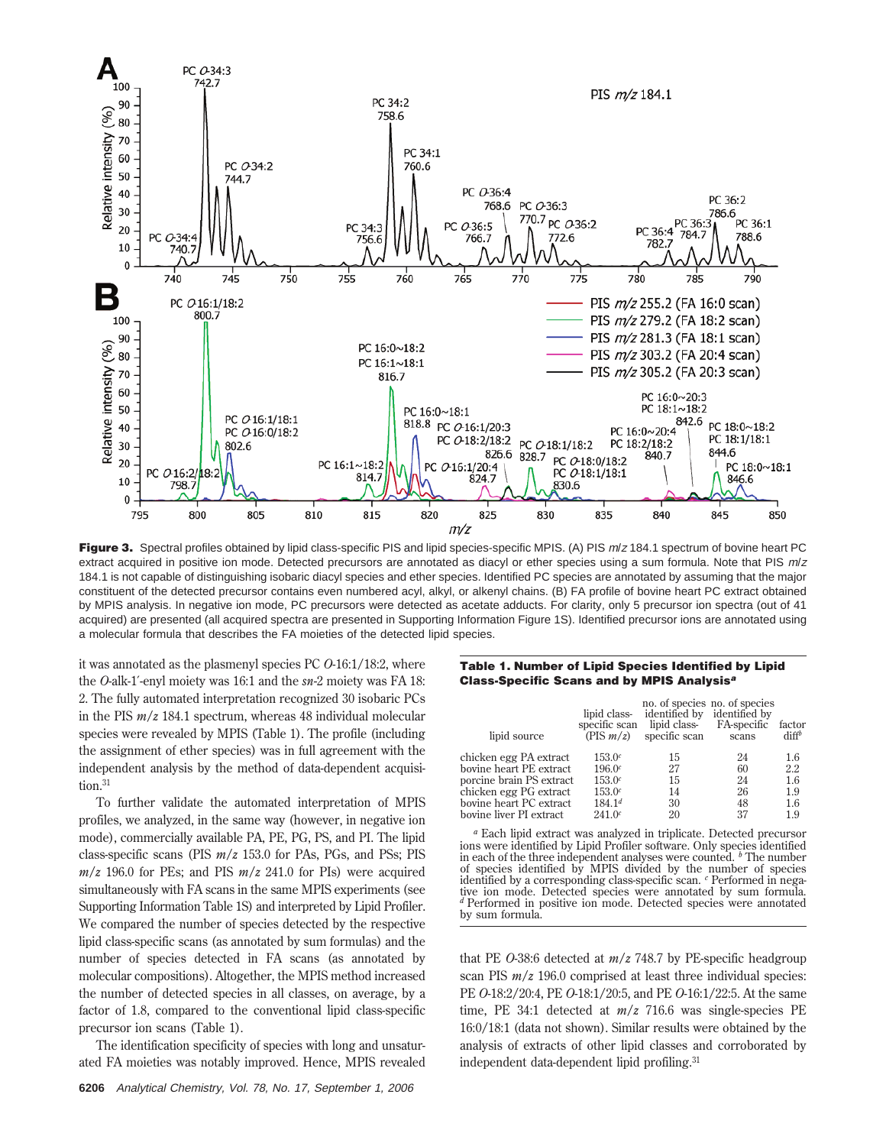

Figure 3. Spectral profiles obtained by lipid class-specific PIS and lipid species-specific MPIS. (A) PIS  $m/z$  184.1 spectrum of bovine heart PC extract acquired in positive ion mode. Detected precursors are annotated as diacyl or ether species using a sum formula. Note that PIS m/z 184.1 is not capable of distinguishing isobaric diacyl species and ether species. Identified PC species are annotated by assuming that the major constituent of the detected precursor contains even numbered acyl, alkyl, or alkenyl chains. (B) FA profile of bovine heart PC extract obtained by MPIS analysis. In negative ion mode, PC precursors were detected as acetate adducts. For clarity, only 5 precursor ion spectra (out of 41 acquired) are presented (all acquired spectra are presented in Supporting Information Figure 1S). Identified precursor ions are annotated using a molecular formula that describes the FA moieties of the detected lipid species.

it was annotated as the plasmenyl species PC *O*-16:1/18:2, where the *O*-alk-1′-enyl moiety was 16:1 and the *sn-*2 moiety was FA 18: 2. The fully automated interpretation recognized 30 isobaric PCs in the PIS *m*/*z* 184.1 spectrum, whereas 48 individual molecular species were revealed by MPIS (Table 1). The profile (including the assignment of ether species) was in full agreement with the independent analysis by the method of data-dependent acquisition.<sup>31</sup>

To further validate the automated interpretation of MPIS profiles, we analyzed, in the same way (however, in negative ion mode), commercially available PA, PE, PG, PS, and PI. The lipid class-specific scans (PIS *m*/*z* 153.0 for PAs, PGs, and PSs; PIS  $m/z$  196.0 for PEs; and PIS  $m/z$  241.0 for PIs) were acquired simultaneously with FA scans in the same MPIS experiments (see Supporting Information Table 1S) and interpreted by Lipid Profiler. We compared the number of species detected by the respective lipid class-specific scans (as annotated by sum formulas) and the number of species detected in FA scans (as annotated by molecular compositions). Altogether, the MPIS method increased the number of detected species in all classes, on average, by a factor of 1.8, compared to the conventional lipid class-specific precursor ion scans (Table 1).

The identification specificity of species with long and unsaturated FA moieties was notably improved. Hence, MPIS revealed

## **Table 1. Number of Lipid Species Identified by Lipid Class-Specific Scans and by MPIS Analysis<sup>a</sup>**

| lipid source             | lipid class-<br>specific scan<br>(PIS m/z) | identified by<br>lipid class-<br>specific scan | no. of species no. of species<br>identified by<br>FA-specific<br>scans | factor<br>diff <sup>b</sup> |
|--------------------------|--------------------------------------------|------------------------------------------------|------------------------------------------------------------------------|-----------------------------|
| chicken egg PA extract   | 153.0c                                     | 15                                             | 24                                                                     | 1.6                         |
| bovine heart PE extract  | 196.0c                                     | 27                                             | 60                                                                     | 2.2                         |
| porcine brain PS extract | 153.0c                                     | 15                                             | 24                                                                     | 1.6                         |
| chicken egg PG extract   | 153.0c                                     | 14                                             | 26                                                                     | 1.9                         |
| bovine heart PC extract  | $184.1^{d}$                                | 30                                             | 48                                                                     | 1.6                         |
| bovine liver PI extract  | 241.0c                                     | 20                                             | 37                                                                     | 1.9                         |

*<sup>a</sup>* Each lipid extract was analyzed in triplicate. Detected precursor ions were identified by Lipid Profiler software. Only species identified in each of the three independent analyses were counted. *<sup>b</sup>* The number of species identified by MPIS divided by the number of species identified by a corresponding class-specific scan. *<sup>c</sup>* Performed in negative ion mode. Detected species were annotated by sum formula. *<sup>d</sup>* Performed in positive ion mode. Detected species were annotated by sum formula.

that PE *O*-38:6 detected at *m*/*z* 748.7 by PE-specific headgroup scan PIS *m*/*z* 196.0 comprised at least three individual species: PE *O*-18:2/20:4, PE *O*-18:1/20:5, and PE *O*-16:1/22:5. At the same time, PE 34:1 detected at *m*/*z* 716.6 was single-species PE 16:0/18:1 (data not shown). Similar results were obtained by the analysis of extracts of other lipid classes and corroborated by independent data-dependent lipid profiling.31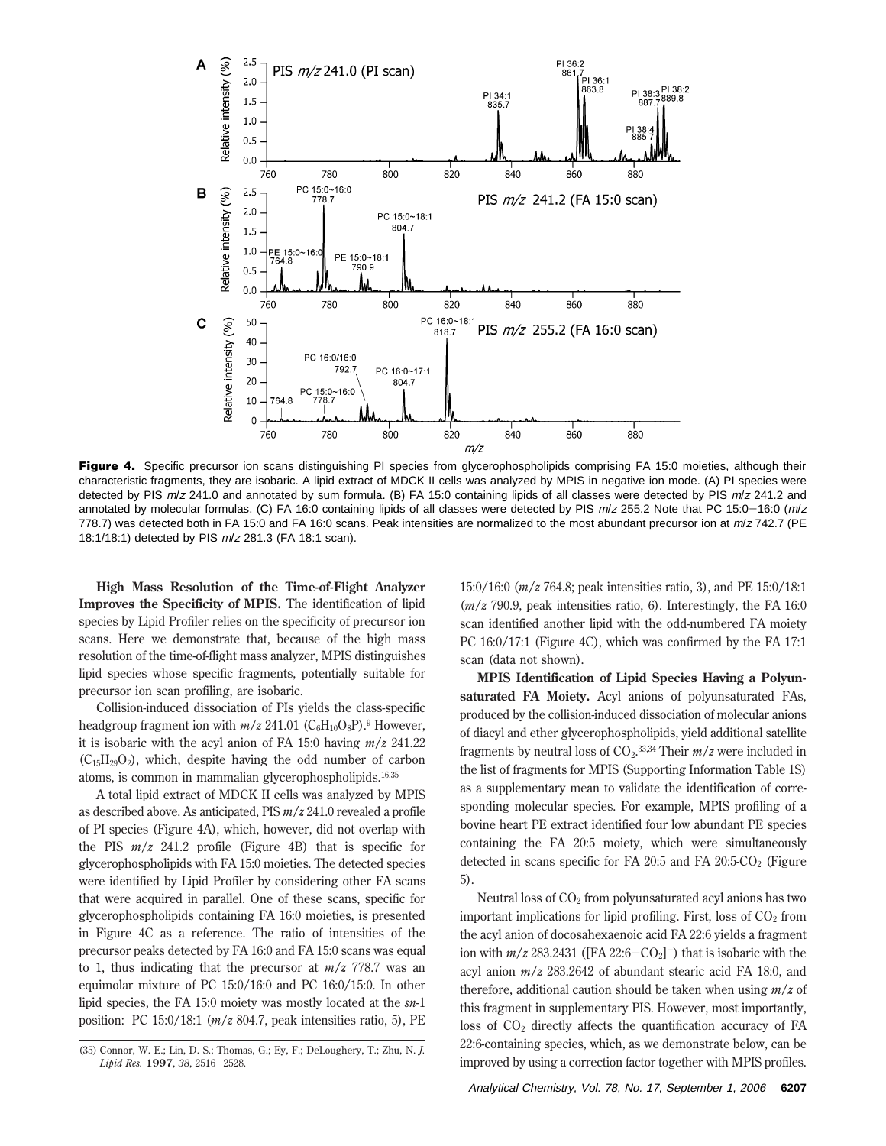

Figure 4. Specific precursor ion scans distinguishing PI species from glycerophospholipids comprising FA 15:0 moieties, although their characteristic fragments, they are isobaric. A lipid extract of MDCK II cells was analyzed by MPIS in negative ion mode. (A) PI species were detected by PIS m/z 241.0 and annotated by sum formula. (B) FA 15:0 containing lipids of all classes were detected by PIS m/z 241.2 and annotated by molecular formulas. (C) FA 16:0 containing lipids of all classes were detected by PIS  $m/z$  255.2 Note that PC 15:0-16:0 ( $m/z$ 778.7) was detected both in FA 15:0 and FA 16:0 scans. Peak intensities are normalized to the most abundant precursor ion at  $m/z$  742.7 (PE 18:1/18:1) detected by PIS <sup>m</sup>/<sup>z</sup> 281.3 (FA 18:1 scan).

**High Mass Resolution of the Time-of-Flight Analyzer Improves the Specificity of MPIS.** The identification of lipid species by Lipid Profiler relies on the specificity of precursor ion scans. Here we demonstrate that, because of the high mass resolution of the time-of-flight mass analyzer, MPIS distinguishes lipid species whose specific fragments, potentially suitable for precursor ion scan profiling, are isobaric.

Collision-induced dissociation of PIs yields the class-specific headgroup fragment ion with  $m/z$  241.01 ( $C_6H_{10}O_8P$ ).<sup>9</sup> However, it is isobaric with the acyl anion of FA 15:0 having *m*/*z* 241.22  $(C_{15}H_{29}O_2)$ , which, despite having the odd number of carbon atoms, is common in mammalian glycerophospholipids.16,35

A total lipid extract of MDCK II cells was analyzed by MPIS as described above. As anticipated, PIS *m*/*z* 241.0 revealed a profile of PI species (Figure 4A), which, however, did not overlap with the PIS *m*/*z* 241.2 profile (Figure 4B) that is specific for glycerophospholipids with FA 15:0 moieties. The detected species were identified by Lipid Profiler by considering other FA scans that were acquired in parallel. One of these scans, specific for glycerophospholipids containing FA 16:0 moieties, is presented in Figure 4C as a reference. The ratio of intensities of the precursor peaks detected by FA 16:0 and FA 15:0 scans was equal to 1, thus indicating that the precursor at *m*/*z* 778.7 was an equimolar mixture of PC 15:0/16:0 and PC 16:0/15:0. In other lipid species, the FA 15:0 moiety was mostly located at the *sn*-1 position: PC 15:0/18:1 (*m*/*z* 804.7, peak intensities ratio, 5), PE

15:0/16:0 (*m*/*z* 764.8; peak intensities ratio, 3), and PE 15:0/18:1 (*m*/*z* 790.9, peak intensities ratio, 6). Interestingly, the FA 16:0 scan identified another lipid with the odd-numbered FA moiety PC 16:0/17:1 (Figure 4C), which was confirmed by the FA 17:1 scan (data not shown).

**MPIS Identification of Lipid Species Having a Polyunsaturated FA Moiety.** Acyl anions of polyunsaturated FAs, produced by the collision-induced dissociation of molecular anions of diacyl and ether glycerophospholipids, yield additional satellite fragments by neutral loss of CO<sub>2</sub>.<sup>33,34</sup> Their *m/z* were included in the list of fragments for MPIS (Supporting Information Table 1S) as a supplementary mean to validate the identification of corresponding molecular species. For example, MPIS profiling of a bovine heart PE extract identified four low abundant PE species containing the FA 20:5 moiety, which were simultaneously detected in scans specific for FA 20:5 and FA  $20:5-CO<sub>2</sub>$  (Figure 5).

Neutral loss of  $CO<sub>2</sub>$  from polyunsaturated acyl anions has two important implications for lipid profiling. First, loss of  $CO<sub>2</sub>$  from the acyl anion of docosahexaenoic acid FA 22:6 yields a fragment ion with  $m/z$  283.2431 ([FA 22:6-CO<sub>2</sub>]<sup>-</sup>) that is isobaric with the acyl anion *m*/*z* 283.2642 of abundant stearic acid FA 18:0, and therefore, additional caution should be taken when using *m*/*z* of this fragment in supplementary PIS. However, most importantly, loss of  $CO<sub>2</sub>$  directly affects the quantification accuracy of FA 22:6-containing species, which, as we demonstrate below, can be improved by using a correction factor together with MPIS profiles.

<sup>(35)</sup> Connor, W. E.; Lin, D. S.; Thomas, G.; Ey, F.; DeLoughery, T.; Zhu, N. *J. Lipid Res.* **<sup>1997</sup>**, *<sup>38</sup>*, 2516-2528.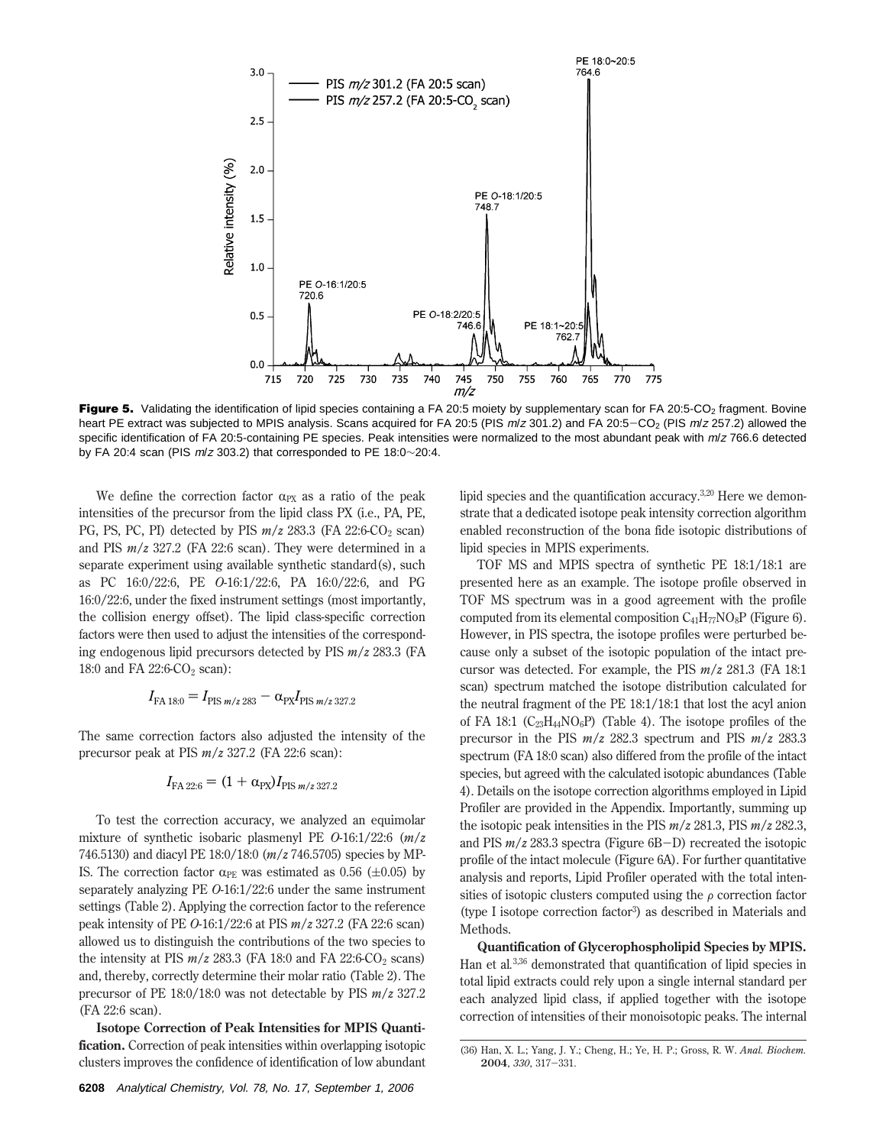

Figure 5. Validating the identification of lipid species containing a FA 20:5 moiety by supplementary scan for FA 20:5-CO<sub>2</sub> fragment. Bovine heart PE extract was subjected to MPIS analysis. Scans acquired for FA 20:5 (PIS  $m/z$  301.2) and FA 20:5-CO<sub>2</sub> (PIS  $m/z$  257.2) allowed the specific identification of FA 20:5-containing PE species. Peak intensities were normalized to the most abundant peak with  $m/z$  766.6 detected by FA 20:4 scan (PIS <sup>m</sup>/<sup>z</sup> 303.2) that corresponded to PE 18:0∼20:4.

We define the correction factor  $\alpha_{PX}$  as a ratio of the peak intensities of the precursor from the lipid class PX (i.e., PA, PE, PG, PS, PC, PI) detected by PIS  $m/z$  283.3 (FA 22:6-CO<sub>2</sub> scan) and PIS *m*/*z* 327.2 (FA 22:6 scan). They were determined in a separate experiment using available synthetic standard(s), such as PC 16:0/22:6, PE *O*-16:1/22:6, PA 16:0/22:6, and PG 16:0/22:6, under the fixed instrument settings (most importantly, the collision energy offset). The lipid class-specific correction factors were then used to adjust the intensities of the corresponding endogenous lipid precursors detected by PIS *m*/*z* 283.3 (FA 18:0 and FA 22:6-CO<sub>2</sub> scan):

$$
I_{\text{FA 18:0}} = I_{\text{PIS } m/z \, 283} - \alpha_{\text{PX}} I_{\text{PIS } m/z \, 327.2}
$$

The same correction factors also adjusted the intensity of the precursor peak at PIS *m*/*z* 327.2 (FA 22:6 scan):

$$
I_{FA\,22:6} = (1 + \alpha_{\rm PX}) I_{\rm PIS\,m/z\,327.2}
$$

To test the correction accuracy, we analyzed an equimolar mixture of synthetic isobaric plasmenyl PE *O*-16:1/22:6 (*m*/*z* 746.5130) and diacyl PE 18:0/18:0 (*m*/*z* 746.5705) species by MP-IS. The correction factor  $\alpha_{PE}$  was estimated as 0.56 ( $\pm$ 0.05) by separately analyzing PE *O*-16:1/22:6 under the same instrument settings (Table 2). Applying the correction factor to the reference peak intensity of PE *O*-16:1/22:6 at PIS *m*/*z* 327.2 (FA 22:6 scan) allowed us to distinguish the contributions of the two species to the intensity at PIS  $m/z$  283.3 (FA 18:0 and FA 22:6-CO<sub>2</sub> scans) and, thereby, correctly determine their molar ratio (Table 2). The precursor of PE 18:0/18:0 was not detectable by PIS *m*/*z* 327.2 (FA 22:6 scan).

**Isotope Correction of Peak Intensities for MPIS Quantification.** Correction of peak intensities within overlapping isotopic clusters improves the confidence of identification of low abundant

**6208** Analytical Chemistry, Vol. 78, No. 17, September 1, 2006

lipid species and the quantification accuracy.3,20 Here we demonstrate that a dedicated isotope peak intensity correction algorithm enabled reconstruction of the bona fide isotopic distributions of lipid species in MPIS experiments.

TOF MS and MPIS spectra of synthetic PE 18:1/18:1 are presented here as an example. The isotope profile observed in TOF MS spectrum was in a good agreement with the profile computed from its elemental composition  $C_{41}H_{77}NO_8P$  (Figure 6). However, in PIS spectra, the isotope profiles were perturbed because only a subset of the isotopic population of the intact precursor was detected. For example, the PIS *m*/*z* 281.3 (FA 18:1 scan) spectrum matched the isotope distribution calculated for the neutral fragment of the PE 18:1/18:1 that lost the acyl anion of FA 18:1 ( $C_{23}H_{44}NO_6P$ ) (Table 4). The isotope profiles of the precursor in the PIS *m*/*z* 282.3 spectrum and PIS *m*/*z* 283.3 spectrum (FA 18:0 scan) also differed from the profile of the intact species, but agreed with the calculated isotopic abundances (Table 4). Details on the isotope correction algorithms employed in Lipid Profiler are provided in the Appendix. Importantly, summing up the isotopic peak intensities in the PIS *m*/*z* 281.3, PIS *m*/*z* 282.3, and PIS *<sup>m</sup>*/*<sup>z</sup>* 283.3 spectra (Figure 6B-D) recreated the isotopic profile of the intact molecule (Figure 6A). For further quantitative analysis and reports, Lipid Profiler operated with the total intensities of isotopic clusters computed using the  $\rho$  correction factor (type I isotope correction factor3) as described in Materials and Methods.

**Quantification of Glycerophospholipid Species by MPIS.** Han et al*.* 3,36 demonstrated that quantification of lipid species in total lipid extracts could rely upon a single internal standard per each analyzed lipid class, if applied together with the isotope correction of intensities of their monoisotopic peaks. The internal

<sup>(36)</sup> Han, X. L.; Yang, J. Y.; Cheng, H.; Ye, H. P.; Gross, R. W. *Anal. Biochem.* **<sup>2004</sup>**, *<sup>330</sup>*, 317-331.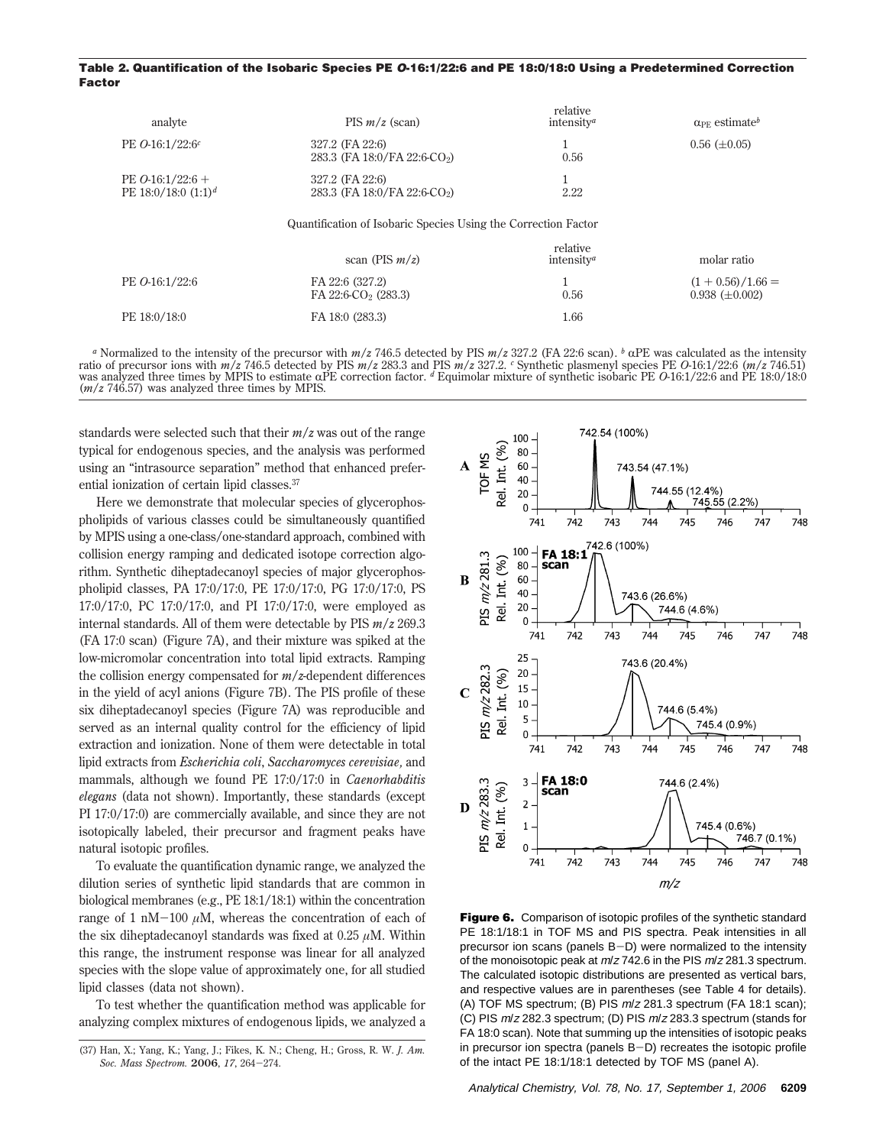#### **Table 2. Quantification of the Isobaric Species PE O-16:1/22:6 and PE 18:0/18:0 Using a Predetermined Correction Factor**

| analyte                                     | $PIS m/z$ (scan)                                               | relative<br>intensity <sup><i>a</i></sup> | $\alpha_{\text{PE}}$ estimate <sup>b</sup>   |
|---------------------------------------------|----------------------------------------------------------------|-------------------------------------------|----------------------------------------------|
| PE $O-16:1/22:6^c$                          | 327.2 (FA 22:6)<br>283.3 (FA 18:0/FA 22:6-CO <sub>2</sub> )    | 0.56                                      | $0.56 \ (\pm 0.05)$                          |
| PE $O-16:1/22:6+$<br>PE 18:0/18:0 $(1:1)^d$ | 327.2 (FA 22:6)<br>283.3 (FA 18:0/FA 22:6-CO <sub>2</sub> )    | <b>I</b><br>2.22                          |                                              |
|                                             | Quantification of Isobaric Species Using the Correction Factor |                                           |                                              |
|                                             | scan (PIS $m/z$ )                                              | relative<br>intensity <sup><i>a</i></sup> | molar ratio                                  |
| PE <i>O</i> -16:1/22:6                      | FA 22:6 (327.2)<br>FA 22:6-CO <sub>2</sub> (283.3)             | 0.56                                      | $(1 + 0.56)/1.66 =$<br>$0.938 \ (\pm 0.002)$ |
| PE 18:0/18:0                                | FA 18:0 (283.3)                                                | 1.66                                      |                                              |

<sup>a</sup> Normalized to the intensity of the precursor with  $m/z$  746.5 detected by PIS  $m/z$  327.2 (FA 22:6 scan). <sup>b</sup>  $\alpha$ PE was calculated as the intensity ratio of precursor ions with  $m/z$  746.5 detected by PIS  $m/z$  283.3 and was analyzed three times by MPIS to estimate  $\alpha$ PE correction factor. <sup>d</sup> Equimolar mixture of synthetic isobaric PE 0-16:1/22:6 and PE 18:0/18:0 (*m*/*z* 746.57) was analyzed three times by MPIS.

standards were selected such that their *m*/*z* was out of the range typical for endogenous species, and the analysis was performed using an "intrasource separation" method that enhanced preferential ionization of certain lipid classes.37

Here we demonstrate that molecular species of glycerophospholipids of various classes could be simultaneously quantified by MPIS using a one-class/one-standard approach, combined with collision energy ramping and dedicated isotope correction algorithm. Synthetic diheptadecanoyl species of major glycerophospholipid classes, PA 17:0/17:0, PE 17:0/17:0, PG 17:0/17:0, PS 17:0/17:0, PC 17:0/17:0, and PI 17:0/17:0, were employed as internal standards. All of them were detectable by PIS *m*/*z* 269.3 (FA 17:0 scan) (Figure 7A), and their mixture was spiked at the low-micromolar concentration into total lipid extracts. Ramping the collision energy compensated for *m*/*z*-dependent differences in the yield of acyl anions (Figure 7B). The PIS profile of these six diheptadecanoyl species (Figure 7A) was reproducible and served as an internal quality control for the efficiency of lipid extraction and ionization. None of them were detectable in total lipid extracts from *Escherichia coli*, *Saccharomyces cerevisiae,* and mammals, although we found PE 17:0/17:0 in *Caenorhabditis elegans* (data not shown). Importantly, these standards (except PI 17:0/17:0) are commercially available, and since they are not isotopically labeled, their precursor and fragment peaks have natural isotopic profiles.

To evaluate the quantification dynamic range, we analyzed the dilution series of synthetic lipid standards that are common in biological membranes (e.g., PE 18:1/18:1) within the concentration range of 1 nM $-100 \mu$ M, whereas the concentration of each of the six diheptadecanoyl standards was fixed at  $0.25 \mu M$ . Within this range, the instrument response was linear for all analyzed species with the slope value of approximately one, for all studied lipid classes (data not shown).

To test whether the quantification method was applicable for analyzing complex mixtures of endogenous lipids, we analyzed a



**Figure 6.** Comparison of isotopic profiles of the synthetic standard PE 18:1/18:1 in TOF MS and PIS spectra. Peak intensities in all precursor ion scans (panels B-D) were normalized to the intensity of the monoisotopic peak at  $m/z$  742.6 in the PIS  $m/z$  281.3 spectrum. The calculated isotopic distributions are presented as vertical bars, and respective values are in parentheses (see Table 4 for details). (A) TOF MS spectrum; (B) PIS <sup>m</sup>/<sup>z</sup> 281.3 spectrum (FA 18:1 scan); (C) PIS <sup>m</sup>/<sup>z</sup> 282.3 spectrum; (D) PIS <sup>m</sup>/<sup>z</sup> 283.3 spectrum (stands for FA 18:0 scan). Note that summing up the intensities of isotopic peaks in precursor ion spectra (panels  $B-D$ ) recreates the isotopic profile of the intact PE 18:1/18:1 detected by TOF MS (panel A).

<sup>(37)</sup> Han, X.; Yang, K.; Yang, J.; Fikes, K. N.; Cheng, H.; Gross, R. W. *J. Am. Soc. Mass Spectrom.* **<sup>2006</sup>**, *<sup>17</sup>*, 264-274.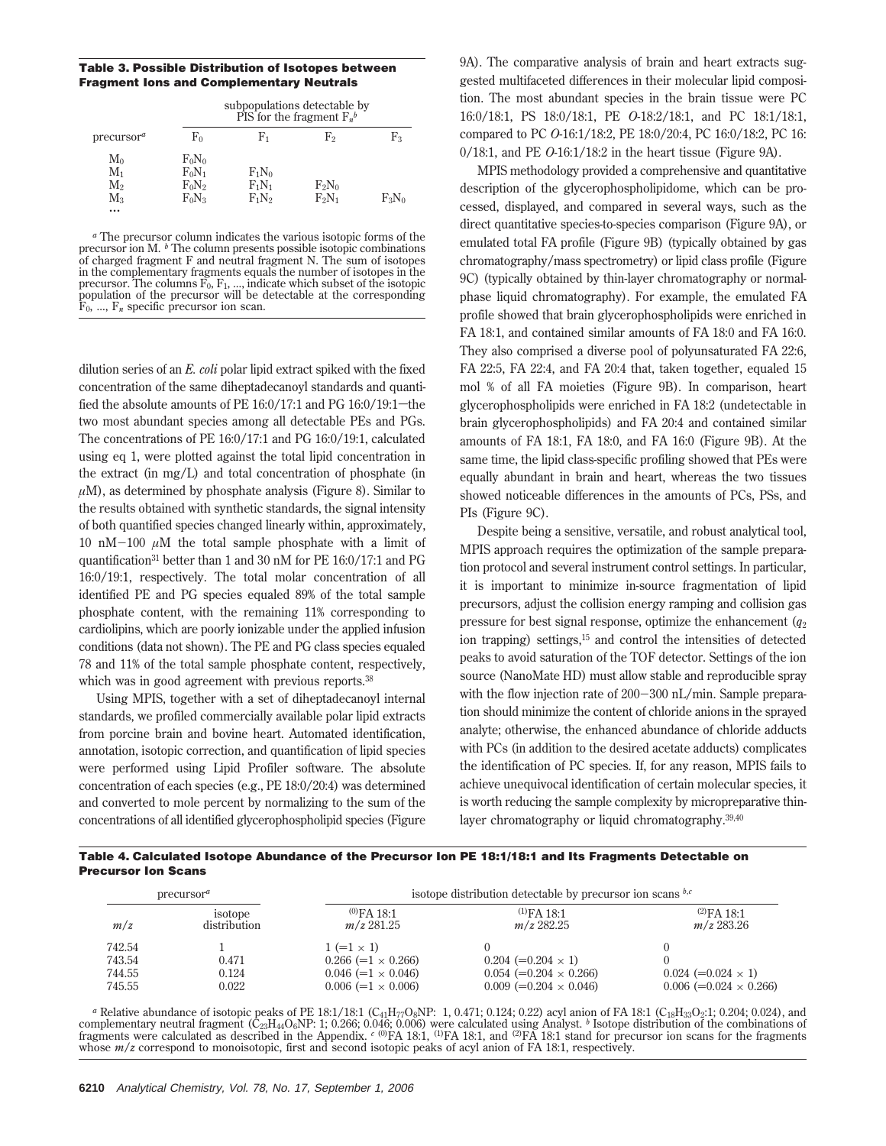**Table 3. Possible Distribution of Isotopes between Fragment Ions and Complementary Neutrals**

|                        | subpopulations detectable by<br>PIS for the fragment $F_n^b$ |          |          |            |
|------------------------|--------------------------------------------------------------|----------|----------|------------|
| precursor <sup>a</sup> | $_{\rm Fo}$                                                  | F1       | F2       | $\rm{F}_3$ |
| $M_0$                  | $F_0N_0$                                                     |          |          |            |
| $M_1$                  | $F_0N_1$                                                     | $F_1N_0$ |          |            |
| $M_{2}$                | $F_0N_2$                                                     | $F_1N_1$ | $F_2N_0$ |            |
| $M_3$                  | $F_0N_3$                                                     | $F_1N_2$ | $F_2N_1$ | $F_3N_0$   |
| $\cdots$               |                                                              |          |          |            |

*<sup>a</sup>* The precursor column indicates the various isotopic forms of the precursor ion M. <sup>*b*</sup> The column presents possible isotopic combinations of charged fragment F and neutral fragment N. The sum of isotopes in the complementary fragments equals the number of isotopes in the precursor. The columns  $\overline{F}_0$ ,  $F_1$ , ..., indicate which subset of the isotopic population of the precursor will be detectable at the corresponding  $\overline{F}_0$ , ...,  $\overline{F}_n$  specific precursor ion scan.

dilution series of an *E. coli* polar lipid extract spiked with the fixed concentration of the same diheptadecanoyl standards and quantified the absolute amounts of PE  $16:0/17:1$  and PG  $16:0/19:1$  – the two most abundant species among all detectable PEs and PGs. The concentrations of PE 16:0/17:1 and PG 16:0/19:1, calculated using eq 1, were plotted against the total lipid concentration in the extract (in mg/L) and total concentration of phosphate (in  $\mu$ M), as determined by phosphate analysis (Figure 8). Similar to the results obtained with synthetic standards, the signal intensity of both quantified species changed linearly within, approximately, 10 nM $-100 \mu$ M the total sample phosphate with a limit of quantification31 better than 1 and 30 nM for PE 16:0/17:1 and PG 16:0/19:1, respectively. The total molar concentration of all identified PE and PG species equaled 89% of the total sample phosphate content, with the remaining 11% corresponding to cardiolipins, which are poorly ionizable under the applied infusion conditions (data not shown). The PE and PG class species equaled 78 and 11% of the total sample phosphate content, respectively, which was in good agreement with previous reports.<sup>38</sup>

Using MPIS, together with a set of diheptadecanoyl internal standards, we profiled commercially available polar lipid extracts from porcine brain and bovine heart. Automated identification, annotation, isotopic correction, and quantification of lipid species were performed using Lipid Profiler software. The absolute concentration of each species (e.g., PE 18:0/20:4) was determined and converted to mole percent by normalizing to the sum of the concentrations of all identified glycerophospholipid species (Figure 9A). The comparative analysis of brain and heart extracts suggested multifaceted differences in their molecular lipid composition. The most abundant species in the brain tissue were PC 16:0/18:1, PS 18:0/18:1, PE *O*-18:2/18:1, and PC 18:1/18:1, compared to PC *O*-16:1/18:2, PE 18:0/20:4, PC 16:0/18:2, PC 16: 0/18:1, and PE *O*-16:1/18:2 in the heart tissue (Figure 9A).

MPIS methodology provided a comprehensive and quantitative description of the glycerophospholipidome, which can be processed, displayed, and compared in several ways, such as the direct quantitative species-to-species comparison (Figure 9A), or emulated total FA profile (Figure 9B) (typically obtained by gas chromatography/mass spectrometry) or lipid class profile (Figure 9C) (typically obtained by thin-layer chromatography or normalphase liquid chromatography). For example, the emulated FA profile showed that brain glycerophospholipids were enriched in FA 18:1, and contained similar amounts of FA 18:0 and FA 16:0. They also comprised a diverse pool of polyunsaturated FA 22:6, FA 22:5, FA 22:4, and FA 20:4 that, taken together, equaled 15 mol % of all FA moieties (Figure 9B). In comparison, heart glycerophospholipids were enriched in FA 18:2 (undetectable in brain glycerophospholipids) and FA 20:4 and contained similar amounts of FA 18:1, FA 18:0, and FA 16:0 (Figure 9B). At the same time, the lipid class-specific profiling showed that PEs were equally abundant in brain and heart, whereas the two tissues showed noticeable differences in the amounts of PCs, PSs, and PIs (Figure 9C).

Despite being a sensitive, versatile, and robust analytical tool, MPIS approach requires the optimization of the sample preparation protocol and several instrument control settings. In particular, it is important to minimize in-source fragmentation of lipid precursors, adjust the collision energy ramping and collision gas pressure for best signal response, optimize the enhancement (*q*<sup>2</sup> ion trapping) settings,15 and control the intensities of detected peaks to avoid saturation of the TOF detector. Settings of the ion source (NanoMate HD) must allow stable and reproducible spray with the flow injection rate of 200-300 nL/min. Sample preparation should minimize the content of chloride anions in the sprayed analyte; otherwise, the enhanced abundance of chloride adducts with PCs (in addition to the desired acetate adducts) complicates the identification of PC species. If, for any reason, MPIS fails to achieve unequivocal identification of certain molecular species, it is worth reducing the sample complexity by micropreparative thinlayer chromatography or liquid chromatography.39,40



|                  | $precurs$ <sup>a</sup> |                                                | isotope distribution detectable by precursor ion scans $^{b,c}$ |                               |  |
|------------------|------------------------|------------------------------------------------|-----------------------------------------------------------------|-------------------------------|--|
| m/z              | isotope                | $^{(0)}FA$ 18:1                                | $(1)FA$ 18:1                                                    | $(2)FA$ 18:1                  |  |
|                  | distribution           | $m/z$ 281.25                                   | $m/z$ 282.25                                                    | $m/z$ 283.26                  |  |
| 742.54<br>743.54 | 0.471                  | $1 (=1 \times 1)$<br>$0.266 (=1 \times 0.266)$ | $0.204 (=0.204 \times 1)$                                       |                               |  |
| 744.55           | 0.124                  | $0.046 (=1 \times 0.046)$                      | $0.054 (=0.204 \times 0.266)$                                   | $0.024 (=0.024 \times 1)$     |  |
| 745.55           | 0.022                  | $0.006 (=1 \times 0.006)$                      | $0.009 (= 0.204 \times 0.046)$                                  | $0.006 (=0.024 \times 0.266)$ |  |

*a* Relative abundance of isotopic peaks of PE 18:1/18:1 (C<sub>41</sub>H<sub>77</sub>O<sub>8</sub>NP: 1, 0.471; 0.124; 0.22) acyl anion of FA 18:1 (C<sub>18</sub>H<sub>33</sub>O<sub>2</sub>:1; 0.204; 0.024), and complementary neutral fragment ( $\hat{C}_{23}H_{44}O_6$ NP: 1; 0.266; 0.046; 0.006) were calculated using Analyst. <sup>b</sup> Isotope distribution of the combinations of fragments were calculated as described in the Appendix. <sup>c (0)</sup>F whose  $m/z$  correspond to monoisotopic, first and second isotopic peaks of acyl anion of FA 18:1, respectively.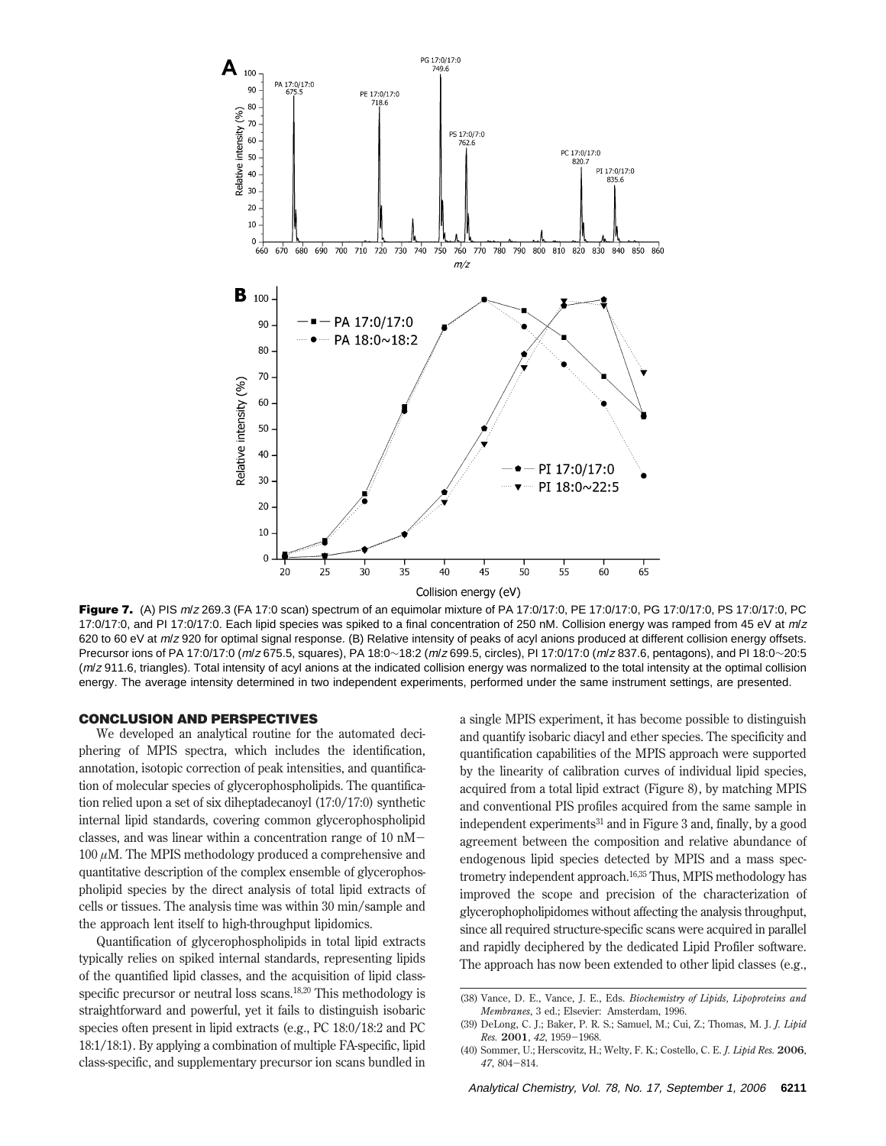

Figure 7. (A) PIS m/z 269.3 (FA 17:0 scan) spectrum of an equimolar mixture of PA 17:0/17:0, PE 17:0/17:0, PG 17:0/17:0, PS 17:0/17:0, PC 17:0/17:0, and PI 17:0/17:0. Each lipid species was spiked to a final concentration of 250 nM. Collision energy was ramped from 45 eV at  $m/z$ 620 to 60 eV at m/z 920 for optimal signal response. (B) Relative intensity of peaks of acyl anions produced at different collision energy offsets. Precursor ions of PA 17:0/17:0 (m/z 675.5, squares), PA 18:0∼18:2 (m/z 699.5, circles), PI 17:0/17:0 (m/z 837.6, pentagons), and PI 18:0∼20:5  $(m/z 911.6$ , triangles). Total intensity of acyl anions at the indicated collision energy was normalized to the total intensity at the optimal collision energy. The average intensity determined in two independent experiments, performed under the same instrument settings, are presented.

# **CONCLUSION AND PERSPECTIVES**

We developed an analytical routine for the automated deciphering of MPIS spectra, which includes the identification, annotation, isotopic correction of peak intensities, and quantification of molecular species of glycerophospholipids. The quantification relied upon a set of six diheptadecanoyl (17:0/17:0) synthetic internal lipid standards, covering common glycerophospholipid classes, and was linear within a concentration range of 10 nM-100 *µ*M. The MPIS methodology produced a comprehensive and quantitative description of the complex ensemble of glycerophospholipid species by the direct analysis of total lipid extracts of cells or tissues. The analysis time was within 30 min/sample and the approach lent itself to high-throughput lipidomics.

Quantification of glycerophospholipids in total lipid extracts typically relies on spiked internal standards, representing lipids of the quantified lipid classes, and the acquisition of lipid classspecific precursor or neutral loss scans.<sup>18,20</sup> This methodology is straightforward and powerful, yet it fails to distinguish isobaric species often present in lipid extracts (e.g., PC 18:0/18:2 and PC 18:1/18:1). By applying a combination of multiple FA-specific, lipid class-specific, and supplementary precursor ion scans bundled in a single MPIS experiment, it has become possible to distinguish and quantify isobaric diacyl and ether species. The specificity and quantification capabilities of the MPIS approach were supported by the linearity of calibration curves of individual lipid species, acquired from a total lipid extract (Figure 8), by matching MPIS and conventional PIS profiles acquired from the same sample in independent experiments<sup>31</sup> and in Figure 3 and, finally, by a good agreement between the composition and relative abundance of endogenous lipid species detected by MPIS and a mass spectrometry independent approach.16,35 Thus, MPIS methodology has improved the scope and precision of the characterization of glycerophopholipidomes without affecting the analysis throughput, since all required structure-specific scans were acquired in parallel and rapidly deciphered by the dedicated Lipid Profiler software. The approach has now been extended to other lipid classes (e.g.,

<sup>(38)</sup> Vance, D. E., Vance, J. E., Eds. *Biochemistry of Lipids, Lipoproteins and Membranes*, 3 ed.; Elsevier: Amsterdam, 1996.

<sup>(39)</sup> DeLong, C. J.; Baker, P. R. S.; Samuel, M.; Cui, Z.; Thomas, M. J. *J. Lipid*

*Res.* **<sup>2001</sup>**, *<sup>42</sup>*, 1959-1968. (40) Sommer, U.; Herscovitz, H.; Welty, F. K.; Costello, C. E. *J. Lipid Res.* **2006**, *<sup>47</sup>*, 804-814.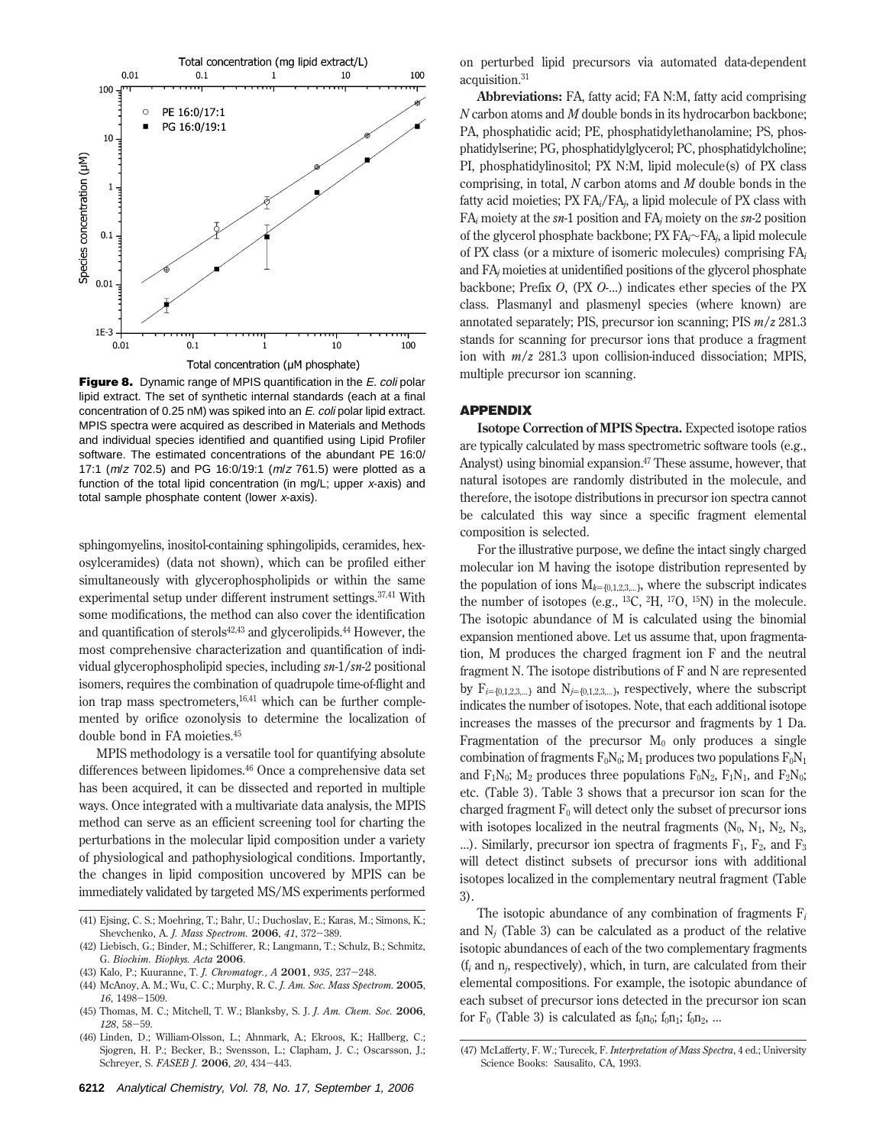

**Figure 8.** Dynamic range of MPIS quantification in the *E. coli* polar lipid extract. The set of synthetic internal standards (each at a final concentration of 0.25 nM) was spiked into an E. coli polar lipid extract. MPIS spectra were acquired as described in Materials and Methods and individual species identified and quantified using Lipid Profiler software. The estimated concentrations of the abundant PE 16:0/ 17:1 (m/z 702.5) and PG 16:0/19:1 (m/z 761.5) were plotted as a function of the total lipid concentration (in mg/L; upper <sup>x</sup>-axis) and total sample phosphate content (lower <sup>x</sup>-axis).

sphingomyelins, inositol-containing sphingolipids, ceramides, hexosylceramides) (data not shown), which can be profiled either simultaneously with glycerophospholipids or within the same experimental setup under different instrument settings.<sup>37,41</sup> With some modifications, the method can also cover the identification and quantification of sterols<sup>42,43</sup> and glycerolipids.<sup>44</sup> However, the most comprehensive characterization and quantification of individual glycerophospholipid species, including *sn*-1/*sn*-2 positional isomers, requires the combination of quadrupole time-of-flight and ion trap mass spectrometers,16,41 which can be further complemented by orifice ozonolysis to determine the localization of double bond in FA moieties.45

MPIS methodology is a versatile tool for quantifying absolute differences between lipidomes.46 Once a comprehensive data set has been acquired, it can be dissected and reported in multiple ways. Once integrated with a multivariate data analysis, the MPIS method can serve as an efficient screening tool for charting the perturbations in the molecular lipid composition under a variety of physiological and pathophysiological conditions. Importantly, the changes in lipid composition uncovered by MPIS can be immediately validated by targeted MS/MS experiments performed

- (43) Kalo, P.; Kuuranne, T. *J. Chromatogr., A* **<sup>2001</sup>**, *<sup>935</sup>*, 237-248.
- (44) McAnoy, A. M.; Wu, C. C.; Murphy, R. C. *J. Am. Soc. Mass Spectrom.* **2005**, *<sup>16</sup>*, 1498-1509.
- (45) Thomas, M. C.; Mitchell, T. W.; Blanksby, S. J. *J. Am. Chem. Soc.* **2006**, *<sup>128</sup>*, 58-59.
- (46) Linden, D.; William-Olsson, L.; Ahnmark, A.; Ekroos, K.; Hallberg, C.; Sjogren, H. P.; Becker, B.; Svensson, L.; Clapham, J. C.; Oscarsson, J.; Schreyer, S. *FASEB J.* **<sup>2006</sup>**, *<sup>20</sup>*, 434-443.

on perturbed lipid precursors via automated data-dependent acquisition.31

**Abbreviations:** FA, fatty acid; FA N:M, fatty acid comprising *N* carbon atoms and *M* double bonds in its hydrocarbon backbone; PA, phosphatidic acid; PE, phosphatidylethanolamine; PS, phosphatidylserine; PG, phosphatidylglycerol; PC, phosphatidylcholine; PI, phosphatidylinositol; PX N:M, lipid molecule(s) of PX class comprising, in total, *N* carbon atoms and *M* double bonds in the fatty acid moieties; PX FA*i*/FA*j*, a lipid molecule of PX class with FA*<sup>i</sup>* moiety at the *sn*-1 position and FA*<sup>j</sup>* moiety on the *sn*-2 position of the glycerol phosphate backbone; PX FA*i*∼FA*j*, a lipid molecule of PX class (or a mixture of isomeric molecules) comprising FA*<sup>i</sup>* and FA*<sup>j</sup>* moieties at unidentified positions of the glycerol phosphate backbone; Prefix *O*, (PX *O*-...) indicates ether species of the PX class. Plasmanyl and plasmenyl species (where known) are annotated separately; PIS, precursor ion scanning; PIS *m*/*z* 281.3 stands for scanning for precursor ions that produce a fragment ion with *m*/*z* 281.3 upon collision-induced dissociation; MPIS, multiple precursor ion scanning.

## **APPENDIX**

**Isotope Correction of MPIS Spectra.** Expected isotope ratios are typically calculated by mass spectrometric software tools (e.g., Analyst) using binomial expansion.47 These assume, however, that natural isotopes are randomly distributed in the molecule, and therefore, the isotope distributions in precursor ion spectra cannot be calculated this way since a specific fragment elemental composition is selected.

For the illustrative purpose, we define the intact singly charged molecular ion M having the isotope distribution represented by the population of ions  $M_{k=(0,1,2,3,...)}$ , where the subscript indicates the number of isotopes (e.g.,  $^{13}C$ ,  $^{2}H$ ,  $^{17}O$ ,  $^{15}N$ ) in the molecule. The isotopic abundance of M is calculated using the binomial expansion mentioned above. Let us assume that, upon fragmentation, M produces the charged fragment ion F and the neutral fragment N. The isotope distributions of F and N are represented by  $F_{i=\{0,1,2,3,...\}}$  and  $N_{j=\{0,1,2,3,...\}}$ , respectively, where the subscript indicates the number of isotopes. Note, that each additional isotope increases the masses of the precursor and fragments by 1 Da. Fragmentation of the precursor  $M_0$  only produces a single combination of fragments  $F_0N_0$ ;  $M_1$  produces two populations  $F_0N_1$ and  $F_1N_0$ ;  $M_2$  produces three populations  $F_0N_2$ ,  $F_1N_1$ , and  $F_2N_0$ ; etc. (Table 3). Table 3 shows that a precursor ion scan for the charged fragment  $F_0$  will detect only the subset of precursor ions with isotopes localized in the neutral fragments  $(N_0, N_1, N_2, N_3, N_4)$ ...). Similarly, precursor ion spectra of fragments  $F_1$ ,  $F_2$ , and  $F_3$ will detect distinct subsets of precursor ions with additional isotopes localized in the complementary neutral fragment (Table 3).

The isotopic abundance of any combination of fragments F*<sup>i</sup>* and  $N_i$  (Table 3) can be calculated as a product of the relative isotopic abundances of each of the two complementary fragments (f*<sup>i</sup>* and n*j*, respectively), which, in turn, are calculated from their elemental compositions. For example, the isotopic abundance of each subset of precursor ions detected in the precursor ion scan for  $F_0$  (Table 3) is calculated as  $f_0n_0$ ;  $f_0n_1$ ;  $f_0n_2$ , ...

<sup>(41)</sup> Ejsing, C. S.; Moehring, T.; Bahr, U.; Duchoslav, E.; Karas, M.; Simons, K.; Shevchenko, A. *J. Mass Spectrom.* **<sup>2006</sup>**, *<sup>41</sup>*, 372-389.

<sup>(42)</sup> Liebisch, G.; Binder, M.; Schifferer, R.; Langmann, T.; Schulz, B.; Schmitz, G. *Biochim. Biophys. Acta* **2006**.

<sup>(47)</sup> McLafferty, F. W.; Turecek, F. *Interpretation of Mass Spectra*, 4 ed.; University Science Books: Sausalito, CA, 1993.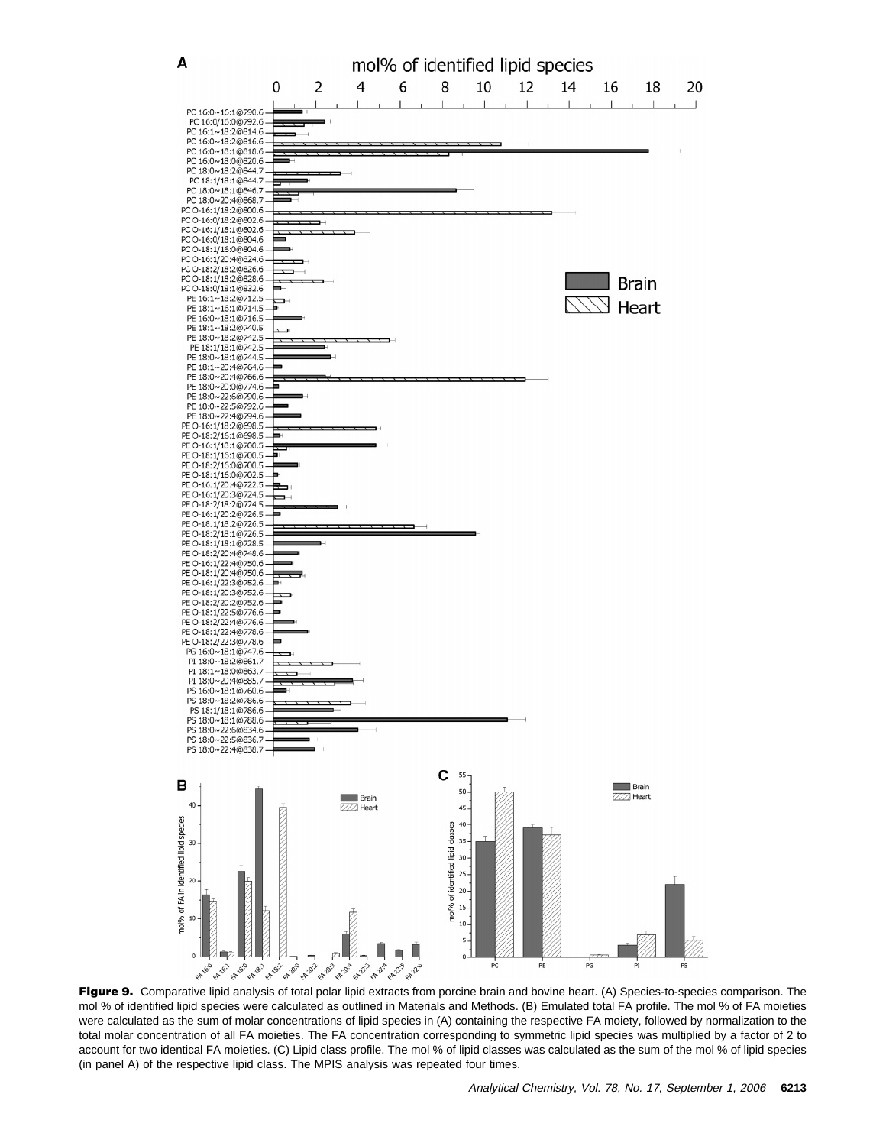

Figure 9. Comparative lipid analysis of total polar lipid extracts from porcine brain and bovine heart. (A) Species-to-species comparison. The mol % of identified lipid species were calculated as outlined in Materials and Methods. (B) Emulated total FA profile. The mol % of FA moieties were calculated as the sum of molar concentrations of lipid species in (A) containing the respective FA moiety, followed by normalization to the total molar concentration of all FA moieties. The FA concentration corresponding to symmetric lipid species was multiplied by a factor of 2 to account for two identical FA moieties. (C) Lipid class profile. The mol % of lipid classes was calculated as the sum of the mol % of lipid species (in panel A) of the respective lipid class. The MPIS analysis was repeated four times.